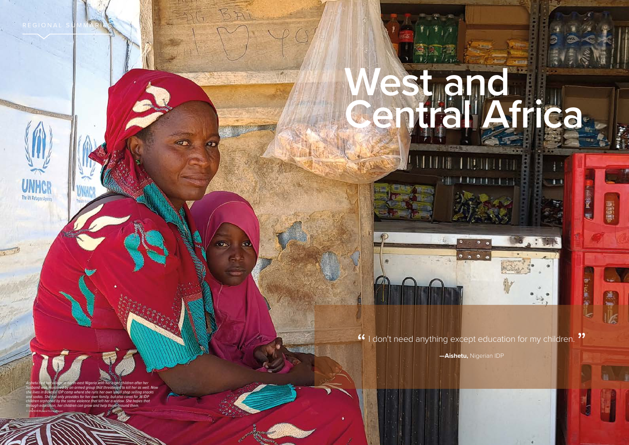REGIONAL SUMMARIES I **WEST AND CENTRAL AFRICA** REGIONAL SUMMARIES I **WEST AND CENTRAL AFRICA**

 $50$ 

**SPT** 

 $\mathbf{v}_k$ 

104 **UNHCR GLOBAL REPORT 2020** UNHCR GLOBAL REPORT 2020 UNHCR GLOBAL REPORT 2020 **105** 

**West and** 

**Central Africa**

4.7.1

 $^{\circ}$   $^{\circ}$   $^{\circ}$ 

*Aishetu fled her village in north-east Nigeria with her eight children after her husband was murdered by an armed group that threatened to kill her as well. Now she lives in Bakassi IDP camp where she runs her own small shop selling snacks and sodas. She not only provides for her own family, but also cares for 16 IDP children orphaned by the same violence that left her a widow. She hopes that through education, her children can grow and help those around them.*  © UNHCR/Roland Schönbauer



 $\frac{1}{2}$ 

**CELL PRESS** 

神頭





<sup>66</sup> I don't need anything except education for my children.<sup>99</sup>

**—Aishetu,** Nigerian IDP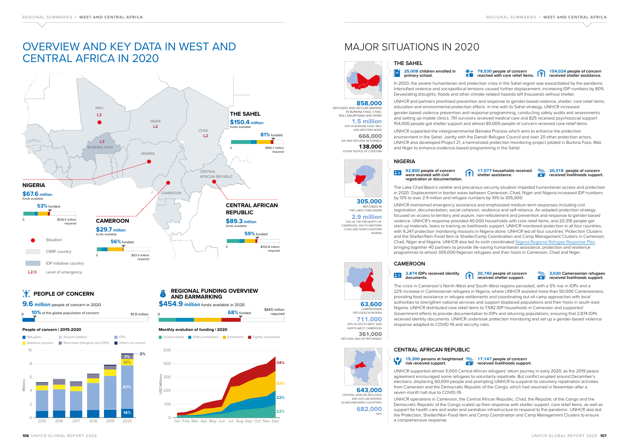**711,000** IDPs IN SOUTH-WEST AND NORTH-WEST CAMEROON **361,000**<br>**REFUGEE AND IDP RETURNEES** 



### **CAMEROON**



CAMEROONIAN REFUGEES IN NIGERIA

**2.9 million** CAMEROON, SOUTH-WESTERN CHAD AND NORTH-EASTERN NIGERIA **305,000** THE LAKE CHAD BASIN

### **CENTRAL AFRICAN REPUBLIC**

**682,000**IDPs

**1.5 million** IN BURKINA FASO, CHAD, MALI, MAURITANIA AND NIGER

**643,000** CENTRAL AFRICAN REFUGEES AND ASYLUM-SEEKERS IN NEIGHBOURING COUNTRIES

### **NIGERIA**



## **858,000** REFUGEES AND ASYLUM-SEEKERS

AND WESTERN NIGER **666,000** IDP AND REFUGEE RETURNEES

**138,000**<br> **OTHER PEOPLE OF CONCERN** 



#### **15,300** persons at heightened **<b>17,147** people of concern **risk received support.**

# MAJOR SITUATIONS IN 2020



#### **79,530 people of concern reached with core relief items. 154,024 people of concern received shelter assistance.**



#### **17,077 households received shelter assistance.**

m

#### **92,800 people of concern** 23 **were assisted with civil registration or documentation.**

#### **20,318 people of concern received livelihoods support.**

**20,740 people of concern received shelter support.** 

#### -225.  $\overline{\cdot \cdot \cdot}$

### **2,874 IDPs received identity documents.**

#### **3,020 Cameroonian refugees received livelihoods support.**

### **rod** received livelihoods support.



Jan Feb Mar Apr May Jun Jul Aug Sep Oct Nov Dec



#### **Monthly evolution of funding | 2020**

**I** Unearmarked **I** Softly earmarked **E** Earmarked Tightly earmarked



### *COPLE OF CONCERN*

### **REGIONAL FUNDING OVERVIEW AND EARMARKING**

### **People of concern | 2015-2020**







# OVERVIEW AND KEY DATA IN WEST AND CENTRAL AFRICA IN 2020

In 2020, the severe humanitarian and protection crisis in the Sahel region was exacerbated by the pandemic. Intensified violence and sociopolitical tensions caused further displacement, increasing IDP numbers by 80%. Devastating droughts, floods and other climate-related hazards left thousands without shelter.

UNHCR and partners prioritized prevention and response to gender-based violence, shelter, core relief items, education and environmental protection efforts. In line with its Sahel strategy, UNHCR increased gender-based violence prevention and response programming, conducting safety audits and assessments and setting up mobile clinics. 791 survivors received medical care and 825 received psychosocial support. 154,000 people got shelter support and almost 80,000 people of concern received core relief items.

UNHCR supported the intergovernmental Bamako Process which aims to enhance the protection environment in the Sahel. Jointly with the Danish Refugee Council and over 20 other protection actors, UNHCR also developed Project 21, a harmonized protection monitoring project piloted in Burkina Faso, Mali and Niger to enhance evidence-based programming in the Sahel.

The Lake Chad Basin's volatile and precarious security situation impeded humanitarian access and protection in 2020. Displacement in border areas between Cameroon, Chad, Niger and Nigeria increased IDP numbers by 13% to over 2.9 million and refugee numbers by 10% to 305,000. UNHCR maintained emergency assistance and emphasized medium-term responses including civil registration, documentation, social cohesion, resilience and self-reliance. An adapted protection strategy focused on access to territory and asylum, non-refoulement and prevention and response to gender-based violence. UNHCR's response provided 40,000 households with core relief items, and 20,318 people got start-up materials, loans or training as livelihoods support. UNHCR monitored protection in all four countries, with 9,247 protection monitoring missions in Nigeria alone. UNHCR led all four countries' Protection Clusters and the Shelter/Non-Food Item or Shelter/Camp Coordination and Camp Management Clusters in Cameroon, Chad, Niger and Nigeria. UNHCR also led its sixth coordinated Nigeria Regional Refugee Response Plan, bringing together 40 partners to provide life-saving humanitarian assistance, protection and resilience programmes to almost 305,000 Nigerian refugees and their hosts in Cameroon, Chad and Niger.

The crisis in Cameroon's North-West and South-West regions persisted, with a 5% rise in IDPs and a 22% increase in Cameroonian refugees in Nigeria, where UNHCR assisted more than 50,000 Cameroonians, providing food assistance in refugee settlements and coordinating out-of-camp approaches with local authorities to strengthen national services and support displaced populations and their hosts in south-east Nigeria. UNHCR distributed core relief items to 7,582 IDP households in Cameroon and supported Government efforts to provide documentation to IDPs and returning populations, ensuring that 2,874 IDPs received identity documents. UNHCR undertook protection monitoring and set up a gender-based violence response adapted to COVID-19 and security risks.

UNHCR supported almost 5,000 Central African refugees' return journey in early 2020, as the 2019 peace agreement encouraged some refugees to voluntarily repatriate. But conflict erupted around December's elections, displacing 50,000 people and prompting UNHCR to suspend its voluntary repatriation activities from Cameroon and the Democratic Republic of the Congo, which had resumed in November after a seven-month halt due to COVID-19.

UNHCR operations in Cameroon, the Central African Republic, Chad, the Republic of the Congo and the Democratic Republic of the Congo scaled up their response with shelter support, core relief items, as well as support for health care and water and sanitation infrastructure to respond to the pandemic. UNHCR also led the Protection, Shelter/Non-Food Item and Camp Coordination and Camp Management Clusters to ensure a comprehensive response.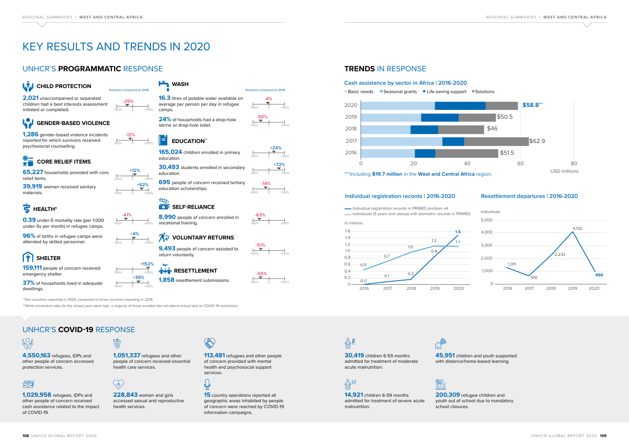

### **Resettlement departures | 2016-2020**





individuals (5 years and above) with biometric records in PRIMES



**15** country operations reported all geographic areas inhabited by people of concern were reached by COVID-19 information campaigns.

# 赑

### **Individual registration records | 2016-2020**



**ex 200,309** refugee children and youth out of school due to mandatory school closures.

### **TRENDS** IN RESPONSE

**4,550,163** refugees, IDPs and other people of concern accessed protection services.



**1,029,958** refugees, IDPs and other people of concern received cash assistance related to the impact of COVID-19.

to

**228,843** women and girls accessed sexual and reproductive health services.



### W **GENDER-BASED VIOLENCE**

**45,951** children and youth supported with distance/home-based learning.

8,990 people of concern enrolled in vocational training.

> **113,481** refugees and other people of concern provided with mental health and psychosocial support services.

### $\overline{\mathbb{Q}}$

**1,051,337** refugees and other people of concern received essential health care services.

### $\left(\begin{matrix} 1 \\ 1 \\ 1 \end{matrix}\right)$

### $\left[\hat{\mathbf{T}}\right]$ **SHELTER**

**30,419** children 6-59 months admitted for treatment of moderate acute malnutrition.

# 

### **14,921** children 6-59 months admitted for treatment of severe acute malnutrition.

UNHCR'S **COVID-19** RESPONSE



**0.39** under-5 mortality rate (per 1,000 under-5s per month) in refugee camps.

**96%** of births in refugee camps were attended by skilled personnel.

**1,286** gender-based violence incidents reported for which survivors received psychosocial counselling.

-100% 0 +100%

**-41%**



**-12%**

**+12%**

**+62%**

**+4%**

-100% 0 +100%

**+152%**

-100% 0 +100% **+39%**











**-63%**

-100% 0 +100% **-14%**

-100% 0 +100%

**+72%**





**65,227** households provided with core relief items.

**39,919** women received sanitary materials.

### **HEALTH\***

**1,858** resettlement submissions.

# **CORE RELIEF ITEMS**

-100% 0 +100% **-4%**

-100% 0 +100%

**-50%**

**16.3** litres of potable water available on average per person per day in refugee

camps.

**HWASH** 

### $\mathbb{R}^{n}$ **SELF-RELIANCE**

**24%** of households had a drop-hole

-100% 0 +100%

**+24%**

**159,111** people of concern received emergency shelter.

**37%** of households lived in adequate dwellings.

**9,493** people of concern assisted to return voluntarily.

### *RESETTLEMENT*



\*\*While enrolment rates for the school year were high, a majority of those enrolled did not attend school due to COVID-19 restrictions.

\*Two countries reporting in 2020, compared to three countries reporting in 2019.

Evolution compared to 2019 Evolution compared to 2019

### UNHCR'S **PROGRAMMATIC** RESPONSE

# KEY RESULTS AND TRENDS IN 2020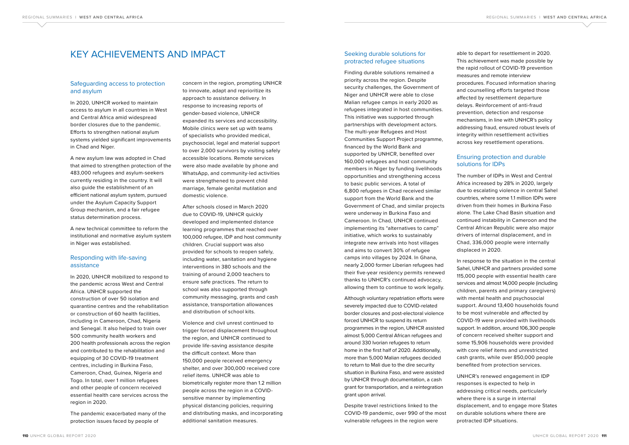### KEY ACHIEVEMENTS AND IMPACT

### Safeguarding access to protection and asylum

In 2020, UNHCR worked to maintain access to asylum in all countries in West and Central Africa amid widespread border closures due to the pandemic. Efforts to strengthen national asylum systems yielded significant improvements in Chad and Niger.

A new asylum law was adopted in Chad that aimed to strengthen protection of the 483,000 refugees and asylum-seekers currently residing in the country. It will also guide the establishment of an efficient national asylum system, pursued under the Asylum Capacity Support Group mechanism, and a fair refugee status determination process.

A new technical committee to reform the institutional and normative asylum system in Niger was established.

### Responding with life-saving assistance

In 2020, UNHCR mobilized to respond to the pandemic across West and Central Africa. UNHCR supported the construction of over 50 isolation and quarantine centres and the rehabilitation or construction of 60 health facilities, including in Cameroon, Chad, Nigeria and Senegal. It also helped to train over 500 community health workers and 200 health professionals across the region and contributed to the rehabilitation and equipping of 30 COVID-19 treatment centres, including in Burkina Faso, Cameroon, Chad, Guinea, Nigeria and Togo. In total, over 1 million refugees and other people of concern received essential health care services across the region in 2020.

The pandemic exacerbated many of the protection issues faced by people of

concern in the region, prompting UNHCR to innovate, adapt and reprioritize its approach to assistance delivery. In response to increasing reports of gender-based violence, UNHCR expanded its services and accessibility. Mobile clinics were set up with teams of specialists who provided medical, psychosocial, legal and material support to over 2,000 survivors by visiting safely accessible locations. Remote services were also made available by phone and WhatsApp, and community-led activities were strengthened to prevent child marriage, female genital mutilation and domestic violence.

After schools closed in March 2020 due to COVID-19, UNHCR quickly developed and implemented distance learning programmes that reached over 100,000 refugee, IDP and host community children. Crucial support was also provided for schools to reopen safely, including water, sanitation and hygiene interventions in 380 schools and the training of around 2,000 teachers to ensure safe practices. The return to school was also supported through community messaging, grants and cash assistance, transportation allowances and distribution of school kits.

Violence and civil unrest continued to trigger forced displacement throughout the region, and UNHCR continued to provide life-saving assistance despite the difficult context. More than 150,000 people received emergency shelter, and over 300,000 received core relief items. UNHCR was able to biometrically register more than 1.2 million people across the region in a COVIDsensitive manner by implementing physical distancing policies, requiring and distributing masks, and incorporating additional sanitation measures.

### Seeking durable solutions for protracted refugee situations

Finding durable solutions remained a priority across the region. Despite security challenges, the Government of Niger and UNHCR were able to close Malian refugee camps in early 2020 as refugees integrated in host communities. This initiative was supported through partnerships with development actors. The multi-year Refugees and Host Communities Support Project programme, financed by the World Bank and supported by UNHCR, benefited over 160,000 refugees and host community members in Niger by funding livelihoods opportunities and strengthening access to basic public services. A total of 6,800 refugees in Chad received similar support from the World Bank and the Government of Chad, and similar projects were underway in Burkina Faso and Cameroon. In Chad, UNHCR continued implementing its "alternatives to camp" initiative, which works to sustainably integrate new arrivals into host villages and aims to convert 30% of refugee camps into villages by 2024. In Ghana, nearly 2,000 former Liberian refugees had their five-year residency permits renewed thanks to UNHCR's continued advocacy, allowing them to continue to work legally.

Although voluntary repatriation efforts were severely impacted due to COVID-related border closures and post-electoral violence forced UNHCR to suspend its return programmes in the region, UNHCR assisted almost 5,000 Central African refugees and around 330 Ivorian refugees to return home in the first half of 2020. Additionally, more than 5,000 Malian refugees decided to return to Mali due to the dire security situation in Burkina Faso, and were assisted by UNHCR through documentation, a cash grant for transportation, and a reintegration grant upon arrival.

Despite travel restrictions linked to the COVID-19 pandemic, over 990 of the most vulnerable refugees in the region were

able to depart for resettlement in 2020. This achievement was made possible by the rapid rollout of COVID-19 prevention measures and remote interview procedures. Focused information sharing and counselling efforts targeted those affected by resettlement departure delays. Reinforcement of anti-fraud prevention, detection and response mechanisms, in line with UNHCR's policy addressing fraud, ensured robust levels of integrity within resettlement activities across key resettlement operations.

### Ensuring protection and durable solutions for IDPs

The number of IDPs in West and Central Africa increased by 28% in 2020, largely due to escalating violence in central Sahel countries, where some 1.1 million IDPs were driven from their homes in Burkina Faso alone. The Lake Chad Basin situation and continued instability in Cameroon and the Central African Republic were also major drivers of internal displacement, and in Chad, 336,000 people were internally displaced in 2020.

In response to the situation in the central Sahel, UNHCR and partners provided some 115,000 people with essential health care services and almost 14,000 people (including children, parents and primary caregivers) with mental health and psychosocial support. Around 13,400 households found to be most vulnerable and affected by COVID-19 were provided with livelihoods support. In addition, around 106,300 people of concern received shelter support and some 15,906 households were provided with core relief items and unrestricted cash grants, while over 850,000 people benefited from protection services.

UNHCR's renewed engagement in IDP responses is expected to help in addressing critical needs, particularly where there is a surge in internal displacement, and to engage more States on durable solutions where there are protracted IDP situations.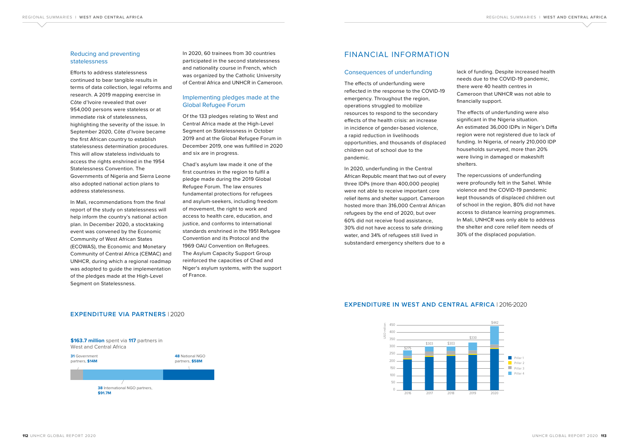### Reducing and preventing statelessness

Efforts to address statelessness continued to bear tangible results in terms of data collection, legal reforms and research. A 2019 mapping exercise in Côte d'Ivoire revealed that over 954,000 persons were stateless or at immediate risk of statelessness, highlighting the severity of the issue. In September 2020, Côte d'Ivoire became the first African country to establish statelessness determination procedures. This will allow stateless individuals to access the rights enshrined in the 1954 Statelessness Convention. The Governments of Nigeria and Sierra Leone also adopted national action plans to address statelessness.

In Mali, recommendations from the final report of the study on statelessness will help inform the country's national action plan. In December 2020, a stocktaking event was convened by the Economic Community of West African States (ECOWAS), the Economic and Monetary Community of Central Africa (CEMAC) and UNHCR, during which a regional roadmap was adopted to guide the implementation of the pledges made at the High-Level Segment on Statelessness.

In 2020, 60 trainees from 30 countries participated in the second statelessness and nationality course in French, which was organized by the Catholic University of Central Africa and UNHCR in Cameroon.

### Implementing pledges made at the Global Refugee Forum

Of the 133 pledges relating to West and Central Africa made at the High-Level Segment on Statelessness in October 2019 and at the Global Refugee Forum in December 2019, one was fulfilled in 2020 and six are in progress.

Chad's asylum law made it one of the first countries in the region to fulfil a pledge made during the 2019 Global Refugee Forum. The law ensures fundamental protections for refugees and asylum-seekers, including freedom of movement, the right to work and access to health care, education, and justice, and conforms to international standards enshrined in the 1951 Refugee Convention and its Protocol and the 1969 OAU Convention on Refugees. The Asylum Capacity Support Group reinforced the capacities of Chad and Niger's asylum systems, with the support of France.

### FINANCIAL INFORMATION

#### Consequences of underfunding

The effects of underfunding were reflected in the response to the COVID-19 emergency. Throughout the region, operations struggled to mobilize resources to respond to the secondary effects of the health crisis: an increase in incidence of gender-based violence, a rapid reduction in livelihoods opportunities, and thousands of displaced children out of school due to the pandemic.

In 2020, underfunding in the Central African Republic meant that two out of every three IDPs (more than 400,000 people) were not able to receive important core relief items and shelter support. Cameroon hosted more than 316,000 Central African refugees by the end of 2020, but over 60% did not receive food assistance, 30% did not have access to safe drinking water, and 34% of refugees still lived in substandard emergency shelters due to a

lack of funding. Despite increased health needs due to the COVID-19 pandemic, there were 40 health centres in Cameroon that UNHCR was not able to financially support.

The effects of underfunding were also significant in the Nigeria situation. An estimated 36,000 IDPs in Niger's Diffa region were not registered due to lack of funding. In Nigeria, of nearly 210,000 IDP households surveyed, more than 20% were living in damaged or makeshift shelters.

The repercussions of underfunding were profoundly felt in the Sahel. While violence and the COVID-19 pandemic kept thousands of displaced children out of school in the region, 80% did not have access to distance learning programmes. In Mali, UNHCR was only able to address the shelter and core relief item needs of 30% of the displaced population.

### **EXPENDITURE IN WEST AND CENTRAL AFRICA** | 2016-2020





### **EXPENDITURE VIA PARTNERS** | 2020